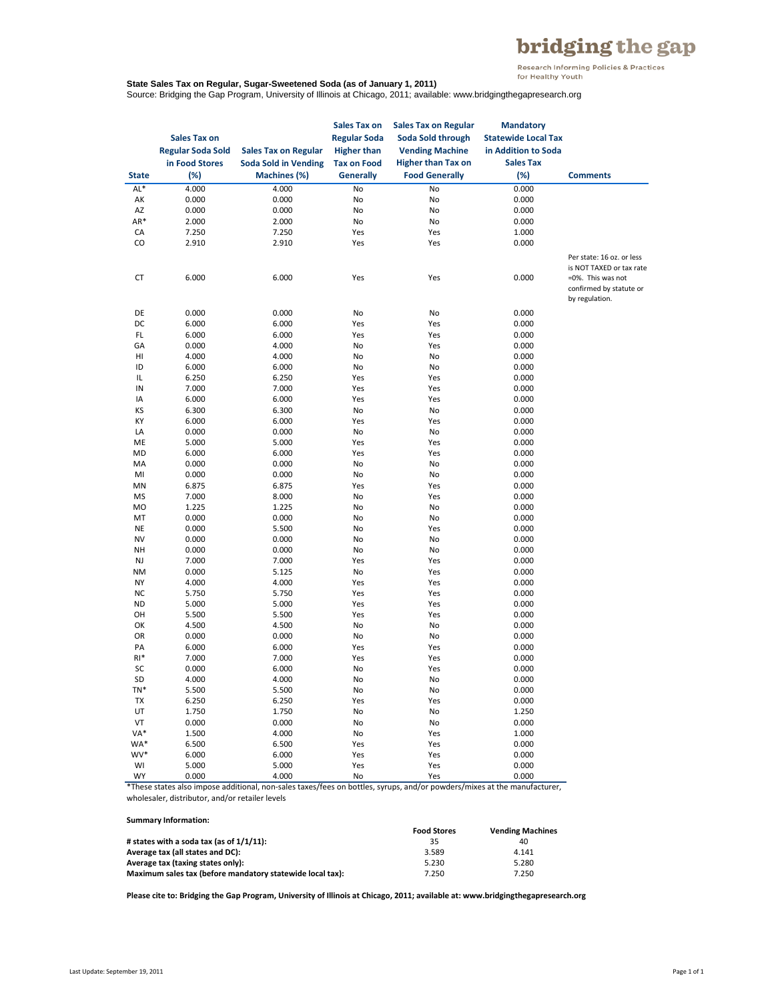## bridging the gap

Research Informing Policies & Practices<br>for Healthy Youth

## **State Sales Tax on Regular, Sugar-Sweetened Soda (as of January 1, 2011)**

Source: Bridging the Gap Program, University of Illinois at Chicago, 2011; available: www.bridgingthegapresearch.org

| in Food Stores<br><b>Soda Sold in Vending</b><br><b>Tax on Food</b><br><b>Higher than Tax on</b><br><b>Sales Tax</b><br>$(\%)$<br>Machines (%)<br><b>Generally</b><br><b>Food Generally</b><br>$(\%)$<br><b>State</b><br><b>Comments</b><br>$AL*$<br>4.000<br>4.000<br>No<br>No<br>0.000<br>0.000<br>АK<br>0.000<br>0.000<br>No<br>No<br>AZ<br>0.000<br>0.000<br>No<br>No<br>0.000<br>AR*<br>2.000<br>2.000<br>No<br>No<br>0.000<br>CA<br>7.250<br>Yes<br>Yes<br>1.000<br>7.250<br>CO<br>Yes<br>Yes<br>2.910<br>2.910<br>0.000<br>Per state: 16 oz. or less<br>is NOT TAXED or tax rate<br>CT<br>6.000<br>6.000<br>Yes<br>Yes<br>0.000<br>=0%. This was not<br>confirmed by statute or<br>by regulation.<br>DE<br>0.000<br>0.000<br>No<br>0.000<br>No<br>DC<br>6.000<br>6.000<br>Yes<br>Yes<br>0.000<br>FL.<br>6.000<br>6.000<br>Yes<br>Yes<br>0.000<br>GA<br>0.000<br>4.000<br>No<br>Yes<br>0.000<br>HI<br>4.000<br>4.000<br>No<br>No<br>0.000<br>ID<br>6.000<br>6.000<br>No<br>No<br>0.000<br>IL<br>6.250<br>6.250<br>Yes<br>Yes<br>0.000<br>IN<br>7.000<br>7.000<br>Yes<br>Yes<br>0.000<br>IA<br>6.000<br>6.000<br>Yes<br>Yes<br>0.000<br>ΚS<br>6.300<br>6.300<br>No<br>No<br>0.000<br>KY<br>6.000<br>6.000<br>Yes<br>Yes<br>0.000<br>LA<br>0.000<br>No<br>0.000<br>No<br>0.000<br>ME<br>5.000<br>5.000<br>Yes<br>Yes<br>0.000<br>MD<br>6.000<br>6.000<br>Yes<br>Yes<br>0.000<br>MA<br>0.000<br>0.000<br>0.000<br>No<br>No<br>0.000<br>0.000<br>No<br>No<br>0.000<br>MI<br>Yes<br>Yes<br>MN<br>6.875<br>6.875<br>0.000<br>MS<br>7.000<br>8.000<br>Yes<br>0.000<br>No<br>MO<br>1.225<br>1.225<br>No<br>No<br>0.000<br>MT<br>0.000<br>0.000<br>0.000<br>No<br>No<br>NE<br>0.000<br>5.500<br>No<br>Yes<br>0.000<br>NV<br>0.000<br>0.000<br>No<br>No<br>0.000<br>NH<br>0.000<br>0.000<br>No<br>No<br>0.000<br><b>NJ</b><br>Yes<br>Yes<br>7.000<br>7.000<br>0.000<br><b>NM</b><br>0.000<br>5.125<br>No<br>Yes<br>0.000<br>NY<br>4.000<br>4.000<br>Yes<br>Yes<br>0.000<br>NC<br>5.750<br>5.750<br>Yes<br>0.000<br>Yes<br>ND<br>5.000<br>5.000<br>Yes<br>0.000<br>Yes<br>OH<br>5.500<br>5.500<br>Yes<br>Yes<br>0.000<br>ОК<br>4.500<br>No<br>No<br>4.500<br>0.000<br>OR<br>0.000<br>0.000<br>No<br>0.000<br>No<br>PA<br>6.000<br>6.000<br>Yes<br>Yes<br>0.000<br>$RI*$<br>7.000<br>7.000<br>Yes<br>0.000<br>Yes<br>SC<br>0.000<br>6.000<br>Yes<br>0.000<br>No<br>SD<br>4.000<br>4.000<br>0.000<br>No<br>No<br>5.500<br>TN*<br>5.500<br>No<br>No<br>0.000<br>6.250<br>6.250<br>0.000<br>TX<br>Yes<br>Yes<br>UT<br>1.750<br>1.750<br>1.250<br>No<br>No<br>VT<br>0.000<br>0.000<br>0.000<br>No<br>No<br>VA*<br>1.500<br>4.000<br>No<br>Yes<br>1.000<br>WA*<br>6.500<br>6.500<br>0.000<br>Yes<br>Yes<br>WV*<br>6.000<br>6.000<br>Yes<br>Yes<br>0.000<br>5.000<br>5.000<br>WI<br>Yes<br>Yes<br>0.000<br>0.000<br>4.000<br>0.000<br>WY<br>No<br>Yes | <b>Sales Tax on</b><br><b>Regular Soda Sold</b> | <b>Sales Tax on Regular</b> | Sales Tax on<br><b>Regular Soda</b><br><b>Higher than</b> | <b>Sales Tax on Regular</b><br>Soda Sold through<br><b>Vending Machine</b> | <b>Mandatory</b><br><b>Statewide Local Tax</b><br>in Addition to Soda |  |
|-------------------------------------------------------------------------------------------------------------------------------------------------------------------------------------------------------------------------------------------------------------------------------------------------------------------------------------------------------------------------------------------------------------------------------------------------------------------------------------------------------------------------------------------------------------------------------------------------------------------------------------------------------------------------------------------------------------------------------------------------------------------------------------------------------------------------------------------------------------------------------------------------------------------------------------------------------------------------------------------------------------------------------------------------------------------------------------------------------------------------------------------------------------------------------------------------------------------------------------------------------------------------------------------------------------------------------------------------------------------------------------------------------------------------------------------------------------------------------------------------------------------------------------------------------------------------------------------------------------------------------------------------------------------------------------------------------------------------------------------------------------------------------------------------------------------------------------------------------------------------------------------------------------------------------------------------------------------------------------------------------------------------------------------------------------------------------------------------------------------------------------------------------------------------------------------------------------------------------------------------------------------------------------------------------------------------------------------------------------------------------------------------------------------------------------------------------------------------------------------------------------------------------------------------------------------------------------------------------------------------------------------------------------------------------------------------------------------------------------------------------------------------------------------------------------------------------------------|-------------------------------------------------|-----------------------------|-----------------------------------------------------------|----------------------------------------------------------------------------|-----------------------------------------------------------------------|--|
|                                                                                                                                                                                                                                                                                                                                                                                                                                                                                                                                                                                                                                                                                                                                                                                                                                                                                                                                                                                                                                                                                                                                                                                                                                                                                                                                                                                                                                                                                                                                                                                                                                                                                                                                                                                                                                                                                                                                                                                                                                                                                                                                                                                                                                                                                                                                                                                                                                                                                                                                                                                                                                                                                                                                                                                                                                           |                                                 |                             |                                                           |                                                                            |                                                                       |  |
|                                                                                                                                                                                                                                                                                                                                                                                                                                                                                                                                                                                                                                                                                                                                                                                                                                                                                                                                                                                                                                                                                                                                                                                                                                                                                                                                                                                                                                                                                                                                                                                                                                                                                                                                                                                                                                                                                                                                                                                                                                                                                                                                                                                                                                                                                                                                                                                                                                                                                                                                                                                                                                                                                                                                                                                                                                           |                                                 |                             |                                                           |                                                                            |                                                                       |  |
|                                                                                                                                                                                                                                                                                                                                                                                                                                                                                                                                                                                                                                                                                                                                                                                                                                                                                                                                                                                                                                                                                                                                                                                                                                                                                                                                                                                                                                                                                                                                                                                                                                                                                                                                                                                                                                                                                                                                                                                                                                                                                                                                                                                                                                                                                                                                                                                                                                                                                                                                                                                                                                                                                                                                                                                                                                           |                                                 |                             |                                                           |                                                                            |                                                                       |  |
|                                                                                                                                                                                                                                                                                                                                                                                                                                                                                                                                                                                                                                                                                                                                                                                                                                                                                                                                                                                                                                                                                                                                                                                                                                                                                                                                                                                                                                                                                                                                                                                                                                                                                                                                                                                                                                                                                                                                                                                                                                                                                                                                                                                                                                                                                                                                                                                                                                                                                                                                                                                                                                                                                                                                                                                                                                           |                                                 |                             |                                                           |                                                                            |                                                                       |  |
|                                                                                                                                                                                                                                                                                                                                                                                                                                                                                                                                                                                                                                                                                                                                                                                                                                                                                                                                                                                                                                                                                                                                                                                                                                                                                                                                                                                                                                                                                                                                                                                                                                                                                                                                                                                                                                                                                                                                                                                                                                                                                                                                                                                                                                                                                                                                                                                                                                                                                                                                                                                                                                                                                                                                                                                                                                           |                                                 |                             |                                                           |                                                                            |                                                                       |  |
|                                                                                                                                                                                                                                                                                                                                                                                                                                                                                                                                                                                                                                                                                                                                                                                                                                                                                                                                                                                                                                                                                                                                                                                                                                                                                                                                                                                                                                                                                                                                                                                                                                                                                                                                                                                                                                                                                                                                                                                                                                                                                                                                                                                                                                                                                                                                                                                                                                                                                                                                                                                                                                                                                                                                                                                                                                           |                                                 |                             |                                                           |                                                                            |                                                                       |  |
|                                                                                                                                                                                                                                                                                                                                                                                                                                                                                                                                                                                                                                                                                                                                                                                                                                                                                                                                                                                                                                                                                                                                                                                                                                                                                                                                                                                                                                                                                                                                                                                                                                                                                                                                                                                                                                                                                                                                                                                                                                                                                                                                                                                                                                                                                                                                                                                                                                                                                                                                                                                                                                                                                                                                                                                                                                           |                                                 |                             |                                                           |                                                                            |                                                                       |  |
|                                                                                                                                                                                                                                                                                                                                                                                                                                                                                                                                                                                                                                                                                                                                                                                                                                                                                                                                                                                                                                                                                                                                                                                                                                                                                                                                                                                                                                                                                                                                                                                                                                                                                                                                                                                                                                                                                                                                                                                                                                                                                                                                                                                                                                                                                                                                                                                                                                                                                                                                                                                                                                                                                                                                                                                                                                           |                                                 |                             |                                                           |                                                                            |                                                                       |  |
|                                                                                                                                                                                                                                                                                                                                                                                                                                                                                                                                                                                                                                                                                                                                                                                                                                                                                                                                                                                                                                                                                                                                                                                                                                                                                                                                                                                                                                                                                                                                                                                                                                                                                                                                                                                                                                                                                                                                                                                                                                                                                                                                                                                                                                                                                                                                                                                                                                                                                                                                                                                                                                                                                                                                                                                                                                           |                                                 |                             |                                                           |                                                                            |                                                                       |  |
|                                                                                                                                                                                                                                                                                                                                                                                                                                                                                                                                                                                                                                                                                                                                                                                                                                                                                                                                                                                                                                                                                                                                                                                                                                                                                                                                                                                                                                                                                                                                                                                                                                                                                                                                                                                                                                                                                                                                                                                                                                                                                                                                                                                                                                                                                                                                                                                                                                                                                                                                                                                                                                                                                                                                                                                                                                           |                                                 |                             |                                                           |                                                                            |                                                                       |  |
|                                                                                                                                                                                                                                                                                                                                                                                                                                                                                                                                                                                                                                                                                                                                                                                                                                                                                                                                                                                                                                                                                                                                                                                                                                                                                                                                                                                                                                                                                                                                                                                                                                                                                                                                                                                                                                                                                                                                                                                                                                                                                                                                                                                                                                                                                                                                                                                                                                                                                                                                                                                                                                                                                                                                                                                                                                           |                                                 |                             |                                                           |                                                                            |                                                                       |  |
|                                                                                                                                                                                                                                                                                                                                                                                                                                                                                                                                                                                                                                                                                                                                                                                                                                                                                                                                                                                                                                                                                                                                                                                                                                                                                                                                                                                                                                                                                                                                                                                                                                                                                                                                                                                                                                                                                                                                                                                                                                                                                                                                                                                                                                                                                                                                                                                                                                                                                                                                                                                                                                                                                                                                                                                                                                           |                                                 |                             |                                                           |                                                                            |                                                                       |  |
|                                                                                                                                                                                                                                                                                                                                                                                                                                                                                                                                                                                                                                                                                                                                                                                                                                                                                                                                                                                                                                                                                                                                                                                                                                                                                                                                                                                                                                                                                                                                                                                                                                                                                                                                                                                                                                                                                                                                                                                                                                                                                                                                                                                                                                                                                                                                                                                                                                                                                                                                                                                                                                                                                                                                                                                                                                           |                                                 |                             |                                                           |                                                                            |                                                                       |  |
|                                                                                                                                                                                                                                                                                                                                                                                                                                                                                                                                                                                                                                                                                                                                                                                                                                                                                                                                                                                                                                                                                                                                                                                                                                                                                                                                                                                                                                                                                                                                                                                                                                                                                                                                                                                                                                                                                                                                                                                                                                                                                                                                                                                                                                                                                                                                                                                                                                                                                                                                                                                                                                                                                                                                                                                                                                           |                                                 |                             |                                                           |                                                                            |                                                                       |  |
|                                                                                                                                                                                                                                                                                                                                                                                                                                                                                                                                                                                                                                                                                                                                                                                                                                                                                                                                                                                                                                                                                                                                                                                                                                                                                                                                                                                                                                                                                                                                                                                                                                                                                                                                                                                                                                                                                                                                                                                                                                                                                                                                                                                                                                                                                                                                                                                                                                                                                                                                                                                                                                                                                                                                                                                                                                           |                                                 |                             |                                                           |                                                                            |                                                                       |  |
|                                                                                                                                                                                                                                                                                                                                                                                                                                                                                                                                                                                                                                                                                                                                                                                                                                                                                                                                                                                                                                                                                                                                                                                                                                                                                                                                                                                                                                                                                                                                                                                                                                                                                                                                                                                                                                                                                                                                                                                                                                                                                                                                                                                                                                                                                                                                                                                                                                                                                                                                                                                                                                                                                                                                                                                                                                           |                                                 |                             |                                                           |                                                                            |                                                                       |  |
|                                                                                                                                                                                                                                                                                                                                                                                                                                                                                                                                                                                                                                                                                                                                                                                                                                                                                                                                                                                                                                                                                                                                                                                                                                                                                                                                                                                                                                                                                                                                                                                                                                                                                                                                                                                                                                                                                                                                                                                                                                                                                                                                                                                                                                                                                                                                                                                                                                                                                                                                                                                                                                                                                                                                                                                                                                           |                                                 |                             |                                                           |                                                                            |                                                                       |  |
|                                                                                                                                                                                                                                                                                                                                                                                                                                                                                                                                                                                                                                                                                                                                                                                                                                                                                                                                                                                                                                                                                                                                                                                                                                                                                                                                                                                                                                                                                                                                                                                                                                                                                                                                                                                                                                                                                                                                                                                                                                                                                                                                                                                                                                                                                                                                                                                                                                                                                                                                                                                                                                                                                                                                                                                                                                           |                                                 |                             |                                                           |                                                                            |                                                                       |  |
|                                                                                                                                                                                                                                                                                                                                                                                                                                                                                                                                                                                                                                                                                                                                                                                                                                                                                                                                                                                                                                                                                                                                                                                                                                                                                                                                                                                                                                                                                                                                                                                                                                                                                                                                                                                                                                                                                                                                                                                                                                                                                                                                                                                                                                                                                                                                                                                                                                                                                                                                                                                                                                                                                                                                                                                                                                           |                                                 |                             |                                                           |                                                                            |                                                                       |  |
|                                                                                                                                                                                                                                                                                                                                                                                                                                                                                                                                                                                                                                                                                                                                                                                                                                                                                                                                                                                                                                                                                                                                                                                                                                                                                                                                                                                                                                                                                                                                                                                                                                                                                                                                                                                                                                                                                                                                                                                                                                                                                                                                                                                                                                                                                                                                                                                                                                                                                                                                                                                                                                                                                                                                                                                                                                           |                                                 |                             |                                                           |                                                                            |                                                                       |  |
|                                                                                                                                                                                                                                                                                                                                                                                                                                                                                                                                                                                                                                                                                                                                                                                                                                                                                                                                                                                                                                                                                                                                                                                                                                                                                                                                                                                                                                                                                                                                                                                                                                                                                                                                                                                                                                                                                                                                                                                                                                                                                                                                                                                                                                                                                                                                                                                                                                                                                                                                                                                                                                                                                                                                                                                                                                           |                                                 |                             |                                                           |                                                                            |                                                                       |  |
|                                                                                                                                                                                                                                                                                                                                                                                                                                                                                                                                                                                                                                                                                                                                                                                                                                                                                                                                                                                                                                                                                                                                                                                                                                                                                                                                                                                                                                                                                                                                                                                                                                                                                                                                                                                                                                                                                                                                                                                                                                                                                                                                                                                                                                                                                                                                                                                                                                                                                                                                                                                                                                                                                                                                                                                                                                           |                                                 |                             |                                                           |                                                                            |                                                                       |  |
|                                                                                                                                                                                                                                                                                                                                                                                                                                                                                                                                                                                                                                                                                                                                                                                                                                                                                                                                                                                                                                                                                                                                                                                                                                                                                                                                                                                                                                                                                                                                                                                                                                                                                                                                                                                                                                                                                                                                                                                                                                                                                                                                                                                                                                                                                                                                                                                                                                                                                                                                                                                                                                                                                                                                                                                                                                           |                                                 |                             |                                                           |                                                                            |                                                                       |  |
|                                                                                                                                                                                                                                                                                                                                                                                                                                                                                                                                                                                                                                                                                                                                                                                                                                                                                                                                                                                                                                                                                                                                                                                                                                                                                                                                                                                                                                                                                                                                                                                                                                                                                                                                                                                                                                                                                                                                                                                                                                                                                                                                                                                                                                                                                                                                                                                                                                                                                                                                                                                                                                                                                                                                                                                                                                           |                                                 |                             |                                                           |                                                                            |                                                                       |  |
|                                                                                                                                                                                                                                                                                                                                                                                                                                                                                                                                                                                                                                                                                                                                                                                                                                                                                                                                                                                                                                                                                                                                                                                                                                                                                                                                                                                                                                                                                                                                                                                                                                                                                                                                                                                                                                                                                                                                                                                                                                                                                                                                                                                                                                                                                                                                                                                                                                                                                                                                                                                                                                                                                                                                                                                                                                           |                                                 |                             |                                                           |                                                                            |                                                                       |  |
|                                                                                                                                                                                                                                                                                                                                                                                                                                                                                                                                                                                                                                                                                                                                                                                                                                                                                                                                                                                                                                                                                                                                                                                                                                                                                                                                                                                                                                                                                                                                                                                                                                                                                                                                                                                                                                                                                                                                                                                                                                                                                                                                                                                                                                                                                                                                                                                                                                                                                                                                                                                                                                                                                                                                                                                                                                           |                                                 |                             |                                                           |                                                                            |                                                                       |  |
|                                                                                                                                                                                                                                                                                                                                                                                                                                                                                                                                                                                                                                                                                                                                                                                                                                                                                                                                                                                                                                                                                                                                                                                                                                                                                                                                                                                                                                                                                                                                                                                                                                                                                                                                                                                                                                                                                                                                                                                                                                                                                                                                                                                                                                                                                                                                                                                                                                                                                                                                                                                                                                                                                                                                                                                                                                           |                                                 |                             |                                                           |                                                                            |                                                                       |  |
|                                                                                                                                                                                                                                                                                                                                                                                                                                                                                                                                                                                                                                                                                                                                                                                                                                                                                                                                                                                                                                                                                                                                                                                                                                                                                                                                                                                                                                                                                                                                                                                                                                                                                                                                                                                                                                                                                                                                                                                                                                                                                                                                                                                                                                                                                                                                                                                                                                                                                                                                                                                                                                                                                                                                                                                                                                           |                                                 |                             |                                                           |                                                                            |                                                                       |  |
|                                                                                                                                                                                                                                                                                                                                                                                                                                                                                                                                                                                                                                                                                                                                                                                                                                                                                                                                                                                                                                                                                                                                                                                                                                                                                                                                                                                                                                                                                                                                                                                                                                                                                                                                                                                                                                                                                                                                                                                                                                                                                                                                                                                                                                                                                                                                                                                                                                                                                                                                                                                                                                                                                                                                                                                                                                           |                                                 |                             |                                                           |                                                                            |                                                                       |  |
|                                                                                                                                                                                                                                                                                                                                                                                                                                                                                                                                                                                                                                                                                                                                                                                                                                                                                                                                                                                                                                                                                                                                                                                                                                                                                                                                                                                                                                                                                                                                                                                                                                                                                                                                                                                                                                                                                                                                                                                                                                                                                                                                                                                                                                                                                                                                                                                                                                                                                                                                                                                                                                                                                                                                                                                                                                           |                                                 |                             |                                                           |                                                                            |                                                                       |  |
|                                                                                                                                                                                                                                                                                                                                                                                                                                                                                                                                                                                                                                                                                                                                                                                                                                                                                                                                                                                                                                                                                                                                                                                                                                                                                                                                                                                                                                                                                                                                                                                                                                                                                                                                                                                                                                                                                                                                                                                                                                                                                                                                                                                                                                                                                                                                                                                                                                                                                                                                                                                                                                                                                                                                                                                                                                           |                                                 |                             |                                                           |                                                                            |                                                                       |  |
|                                                                                                                                                                                                                                                                                                                                                                                                                                                                                                                                                                                                                                                                                                                                                                                                                                                                                                                                                                                                                                                                                                                                                                                                                                                                                                                                                                                                                                                                                                                                                                                                                                                                                                                                                                                                                                                                                                                                                                                                                                                                                                                                                                                                                                                                                                                                                                                                                                                                                                                                                                                                                                                                                                                                                                                                                                           |                                                 |                             |                                                           |                                                                            |                                                                       |  |
|                                                                                                                                                                                                                                                                                                                                                                                                                                                                                                                                                                                                                                                                                                                                                                                                                                                                                                                                                                                                                                                                                                                                                                                                                                                                                                                                                                                                                                                                                                                                                                                                                                                                                                                                                                                                                                                                                                                                                                                                                                                                                                                                                                                                                                                                                                                                                                                                                                                                                                                                                                                                                                                                                                                                                                                                                                           |                                                 |                             |                                                           |                                                                            |                                                                       |  |
|                                                                                                                                                                                                                                                                                                                                                                                                                                                                                                                                                                                                                                                                                                                                                                                                                                                                                                                                                                                                                                                                                                                                                                                                                                                                                                                                                                                                                                                                                                                                                                                                                                                                                                                                                                                                                                                                                                                                                                                                                                                                                                                                                                                                                                                                                                                                                                                                                                                                                                                                                                                                                                                                                                                                                                                                                                           |                                                 |                             |                                                           |                                                                            |                                                                       |  |
|                                                                                                                                                                                                                                                                                                                                                                                                                                                                                                                                                                                                                                                                                                                                                                                                                                                                                                                                                                                                                                                                                                                                                                                                                                                                                                                                                                                                                                                                                                                                                                                                                                                                                                                                                                                                                                                                                                                                                                                                                                                                                                                                                                                                                                                                                                                                                                                                                                                                                                                                                                                                                                                                                                                                                                                                                                           |                                                 |                             |                                                           |                                                                            |                                                                       |  |
|                                                                                                                                                                                                                                                                                                                                                                                                                                                                                                                                                                                                                                                                                                                                                                                                                                                                                                                                                                                                                                                                                                                                                                                                                                                                                                                                                                                                                                                                                                                                                                                                                                                                                                                                                                                                                                                                                                                                                                                                                                                                                                                                                                                                                                                                                                                                                                                                                                                                                                                                                                                                                                                                                                                                                                                                                                           |                                                 |                             |                                                           |                                                                            |                                                                       |  |
|                                                                                                                                                                                                                                                                                                                                                                                                                                                                                                                                                                                                                                                                                                                                                                                                                                                                                                                                                                                                                                                                                                                                                                                                                                                                                                                                                                                                                                                                                                                                                                                                                                                                                                                                                                                                                                                                                                                                                                                                                                                                                                                                                                                                                                                                                                                                                                                                                                                                                                                                                                                                                                                                                                                                                                                                                                           |                                                 |                             |                                                           |                                                                            |                                                                       |  |
|                                                                                                                                                                                                                                                                                                                                                                                                                                                                                                                                                                                                                                                                                                                                                                                                                                                                                                                                                                                                                                                                                                                                                                                                                                                                                                                                                                                                                                                                                                                                                                                                                                                                                                                                                                                                                                                                                                                                                                                                                                                                                                                                                                                                                                                                                                                                                                                                                                                                                                                                                                                                                                                                                                                                                                                                                                           |                                                 |                             |                                                           |                                                                            |                                                                       |  |
|                                                                                                                                                                                                                                                                                                                                                                                                                                                                                                                                                                                                                                                                                                                                                                                                                                                                                                                                                                                                                                                                                                                                                                                                                                                                                                                                                                                                                                                                                                                                                                                                                                                                                                                                                                                                                                                                                                                                                                                                                                                                                                                                                                                                                                                                                                                                                                                                                                                                                                                                                                                                                                                                                                                                                                                                                                           |                                                 |                             |                                                           |                                                                            |                                                                       |  |
|                                                                                                                                                                                                                                                                                                                                                                                                                                                                                                                                                                                                                                                                                                                                                                                                                                                                                                                                                                                                                                                                                                                                                                                                                                                                                                                                                                                                                                                                                                                                                                                                                                                                                                                                                                                                                                                                                                                                                                                                                                                                                                                                                                                                                                                                                                                                                                                                                                                                                                                                                                                                                                                                                                                                                                                                                                           |                                                 |                             |                                                           |                                                                            |                                                                       |  |
|                                                                                                                                                                                                                                                                                                                                                                                                                                                                                                                                                                                                                                                                                                                                                                                                                                                                                                                                                                                                                                                                                                                                                                                                                                                                                                                                                                                                                                                                                                                                                                                                                                                                                                                                                                                                                                                                                                                                                                                                                                                                                                                                                                                                                                                                                                                                                                                                                                                                                                                                                                                                                                                                                                                                                                                                                                           |                                                 |                             |                                                           |                                                                            |                                                                       |  |
|                                                                                                                                                                                                                                                                                                                                                                                                                                                                                                                                                                                                                                                                                                                                                                                                                                                                                                                                                                                                                                                                                                                                                                                                                                                                                                                                                                                                                                                                                                                                                                                                                                                                                                                                                                                                                                                                                                                                                                                                                                                                                                                                                                                                                                                                                                                                                                                                                                                                                                                                                                                                                                                                                                                                                                                                                                           |                                                 |                             |                                                           |                                                                            |                                                                       |  |
|                                                                                                                                                                                                                                                                                                                                                                                                                                                                                                                                                                                                                                                                                                                                                                                                                                                                                                                                                                                                                                                                                                                                                                                                                                                                                                                                                                                                                                                                                                                                                                                                                                                                                                                                                                                                                                                                                                                                                                                                                                                                                                                                                                                                                                                                                                                                                                                                                                                                                                                                                                                                                                                                                                                                                                                                                                           |                                                 |                             |                                                           |                                                                            |                                                                       |  |
|                                                                                                                                                                                                                                                                                                                                                                                                                                                                                                                                                                                                                                                                                                                                                                                                                                                                                                                                                                                                                                                                                                                                                                                                                                                                                                                                                                                                                                                                                                                                                                                                                                                                                                                                                                                                                                                                                                                                                                                                                                                                                                                                                                                                                                                                                                                                                                                                                                                                                                                                                                                                                                                                                                                                                                                                                                           |                                                 |                             |                                                           |                                                                            |                                                                       |  |
|                                                                                                                                                                                                                                                                                                                                                                                                                                                                                                                                                                                                                                                                                                                                                                                                                                                                                                                                                                                                                                                                                                                                                                                                                                                                                                                                                                                                                                                                                                                                                                                                                                                                                                                                                                                                                                                                                                                                                                                                                                                                                                                                                                                                                                                                                                                                                                                                                                                                                                                                                                                                                                                                                                                                                                                                                                           |                                                 |                             |                                                           |                                                                            |                                                                       |  |
|                                                                                                                                                                                                                                                                                                                                                                                                                                                                                                                                                                                                                                                                                                                                                                                                                                                                                                                                                                                                                                                                                                                                                                                                                                                                                                                                                                                                                                                                                                                                                                                                                                                                                                                                                                                                                                                                                                                                                                                                                                                                                                                                                                                                                                                                                                                                                                                                                                                                                                                                                                                                                                                                                                                                                                                                                                           |                                                 |                             |                                                           |                                                                            |                                                                       |  |
|                                                                                                                                                                                                                                                                                                                                                                                                                                                                                                                                                                                                                                                                                                                                                                                                                                                                                                                                                                                                                                                                                                                                                                                                                                                                                                                                                                                                                                                                                                                                                                                                                                                                                                                                                                                                                                                                                                                                                                                                                                                                                                                                                                                                                                                                                                                                                                                                                                                                                                                                                                                                                                                                                                                                                                                                                                           |                                                 |                             |                                                           |                                                                            |                                                                       |  |
|                                                                                                                                                                                                                                                                                                                                                                                                                                                                                                                                                                                                                                                                                                                                                                                                                                                                                                                                                                                                                                                                                                                                                                                                                                                                                                                                                                                                                                                                                                                                                                                                                                                                                                                                                                                                                                                                                                                                                                                                                                                                                                                                                                                                                                                                                                                                                                                                                                                                                                                                                                                                                                                                                                                                                                                                                                           |                                                 |                             |                                                           |                                                                            |                                                                       |  |
|                                                                                                                                                                                                                                                                                                                                                                                                                                                                                                                                                                                                                                                                                                                                                                                                                                                                                                                                                                                                                                                                                                                                                                                                                                                                                                                                                                                                                                                                                                                                                                                                                                                                                                                                                                                                                                                                                                                                                                                                                                                                                                                                                                                                                                                                                                                                                                                                                                                                                                                                                                                                                                                                                                                                                                                                                                           |                                                 |                             |                                                           |                                                                            |                                                                       |  |
|                                                                                                                                                                                                                                                                                                                                                                                                                                                                                                                                                                                                                                                                                                                                                                                                                                                                                                                                                                                                                                                                                                                                                                                                                                                                                                                                                                                                                                                                                                                                                                                                                                                                                                                                                                                                                                                                                                                                                                                                                                                                                                                                                                                                                                                                                                                                                                                                                                                                                                                                                                                                                                                                                                                                                                                                                                           |                                                 |                             |                                                           |                                                                            |                                                                       |  |
|                                                                                                                                                                                                                                                                                                                                                                                                                                                                                                                                                                                                                                                                                                                                                                                                                                                                                                                                                                                                                                                                                                                                                                                                                                                                                                                                                                                                                                                                                                                                                                                                                                                                                                                                                                                                                                                                                                                                                                                                                                                                                                                                                                                                                                                                                                                                                                                                                                                                                                                                                                                                                                                                                                                                                                                                                                           |                                                 |                             |                                                           |                                                                            |                                                                       |  |
|                                                                                                                                                                                                                                                                                                                                                                                                                                                                                                                                                                                                                                                                                                                                                                                                                                                                                                                                                                                                                                                                                                                                                                                                                                                                                                                                                                                                                                                                                                                                                                                                                                                                                                                                                                                                                                                                                                                                                                                                                                                                                                                                                                                                                                                                                                                                                                                                                                                                                                                                                                                                                                                                                                                                                                                                                                           |                                                 |                             |                                                           |                                                                            |                                                                       |  |
|                                                                                                                                                                                                                                                                                                                                                                                                                                                                                                                                                                                                                                                                                                                                                                                                                                                                                                                                                                                                                                                                                                                                                                                                                                                                                                                                                                                                                                                                                                                                                                                                                                                                                                                                                                                                                                                                                                                                                                                                                                                                                                                                                                                                                                                                                                                                                                                                                                                                                                                                                                                                                                                                                                                                                                                                                                           |                                                 |                             |                                                           |                                                                            |                                                                       |  |

\*These states also impose additional, non-sales taxes/fees on bottles, syrups, and/or powders/mixes at the manufacturer, wholesaler, distributor, and/or retailer levels

| <b>Summary Information:</b>                               |                    |                         |
|-----------------------------------------------------------|--------------------|-------------------------|
|                                                           | <b>Food Stores</b> | <b>Vending Machines</b> |
| # states with a soda tax (as of $1/1/11$ ):               | 35                 | 40                      |
| Average tax (all states and DC):                          | 3.589              | 4.141                   |
| Average tax (taxing states only):                         | 5.230              | 5.280                   |
| Maximum sales tax (before mandatory statewide local tax): | 7.250              | 7.250                   |

**Please cite to: Bridging the Gap Program, University of Illinois at Chicago, 2011; available at: www.bridgingthegapresearch.org**